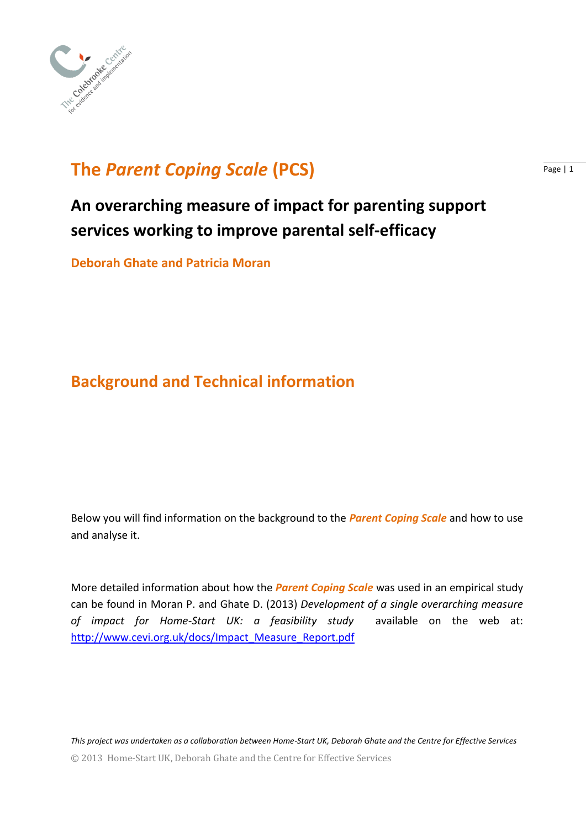

# **The Parent Coping Scale (PCS) Page 11**

# **An overarching measure of impact for parenting support services working to improve parental self-efficacy**

**Deborah Ghate and Patricia Moran** 

## **Background and Technical information**

Below you will find information on the background to the *Parent Coping Scale* and how to use and analyse it.

More detailed information about how the *Parent Coping Scale* was used in an empirical study can be found in Moran P. and Ghate D. (2013) *Development of a single overarching measure of impact for Home-Start UK: a feasibility study* available on the web at: [http://www.cevi.org.uk/docs/Impact\\_Measure\\_Report.pdf](http://www.cevi.org.uk/docs/Impact_Measure_Report.pdf)

© 2013 Home-Start UK, Deborah Ghate and the Centre for Effective Services *This project was undertaken as a collaboration between Home-Start UK, Deborah Ghate and the Centre for Effective Services*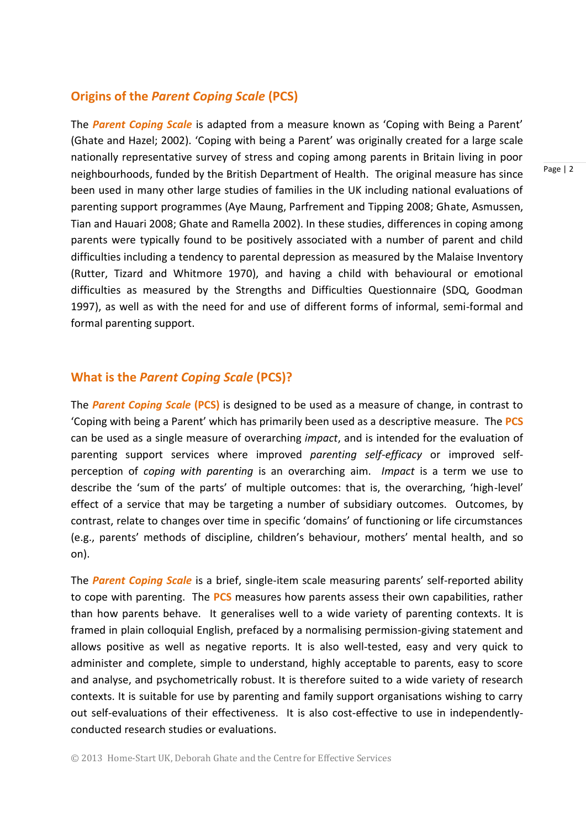#### **Origins of the** *Parent Coping Scale* **(PCS)**

The *Parent Coping Scale* is adapted from a measure known as 'Coping with Being a Parent' (Ghate and Hazel; 2002). 'Coping with being a Parent' was originally created for a large scale nationally representative survey of stress and coping among parents in Britain living in poor neighbourhoods, funded by the British Department of Health. The original measure has since been used in many other large studies of families in the UK including national evaluations of parenting support programmes (Aye Maung, Parfrement and Tipping 2008; Ghate, Asmussen, Tian and Hauari 2008; Ghate and Ramella 2002). In these studies, differences in coping among parents were typically found to be positively associated with a number of parent and child difficulties including a tendency to parental depression as measured by the Malaise Inventory (Rutter, Tizard and Whitmore 1970), and having a child with behavioural or emotional difficulties as measured by the Strengths and Difficulties Questionnaire (SDQ, Goodman 1997), as well as with the need for and use of different forms of informal, semi-formal and formal parenting support.

## **What is the** *Parent Coping Scale* **(PCS)?**

The *Parent Coping Scale* **(PCS)** is designed to be used as a measure of change, in contrast to 'Coping with being a Parent' which has primarily been used as a descriptive measure. The **PCS**  can be used as a single measure of overarching *impact*, and is intended for the evaluation of parenting support services where improved *parenting self-efficacy* or improved selfperception of *coping with parenting* is an overarching aim. *Impact* is a term we use to describe the 'sum of the parts' of multiple outcomes: that is, the overarching, 'high-level' effect of a service that may be targeting a number of subsidiary outcomes. Outcomes, by contrast, relate to changes over time in specific 'domains' of functioning or life circumstances (e.g., parents' methods of discipline, children's behaviour, mothers' mental health, and so on).

The *Parent Coping Scale* is a brief, single-item scale measuring parents' self-reported ability to cope with parenting. The **PCS** measures how parents assess their own capabilities, rather than how parents behave. It generalises well to a wide variety of parenting contexts. It is framed in plain colloquial English, prefaced by a normalising permission-giving statement and allows positive as well as negative reports. It is also well-tested, easy and very quick to administer and complete, simple to understand, highly acceptable to parents, easy to score and analyse, and psychometrically robust. It is therefore suited to a wide variety of research contexts. It is suitable for use by parenting and family support organisations wishing to carry out self-evaluations of their effectiveness. It is also cost-effective to use in independentlyconducted research studies or evaluations.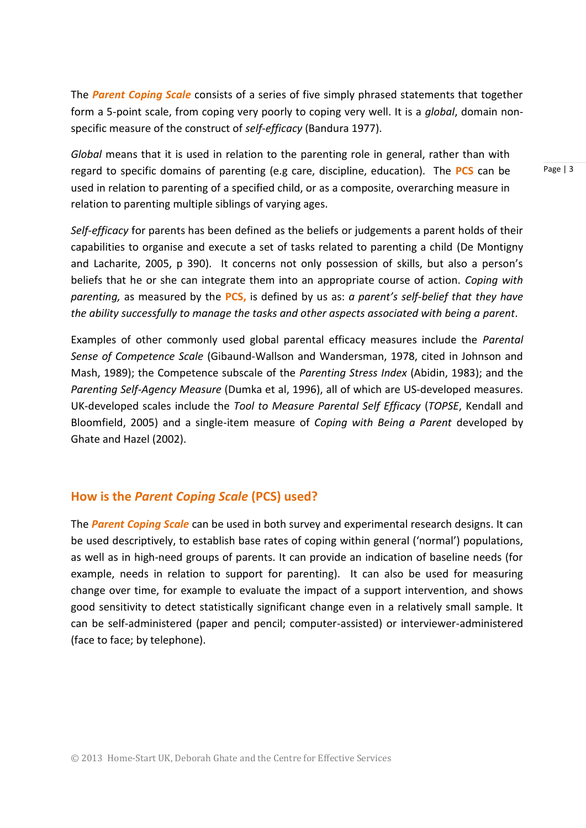The *Parent Coping Scale* consists of a series of five simply phrased statements that together form a 5-point scale, from coping very poorly to coping very well. It is a *global*, domain nonspecific measure of the construct of *self-efficacy* (Bandura 1977).

*Global* means that it is used in relation to the parenting role in general, rather than with regard to specific domains of parenting (e.g care, discipline, education). The **PCS** can be used in relation to parenting of a specified child, or as a composite, overarching measure in relation to parenting multiple siblings of varying ages.

*Self-efficacy* for parents has been defined as the beliefs or judgements a parent holds of their capabilities to organise and execute a set of tasks related to parenting a child (De Montigny and Lacharite, 2005, p 390). It concerns not only possession of skills, but also a person's beliefs that he or she can integrate them into an appropriate course of action. *Coping with parenting,* as measured by the **PCS,** is defined by us as: *a parent's self-belief that they have the ability successfully to manage the tasks and other aspects associated with being a parent*.

Examples of other commonly used global parental efficacy measures include the *Parental Sense of Competence Scale* (Gibaund-Wallson and Wandersman, 1978, cited in Johnson and Mash, 1989); the Competence subscale of the *Parenting Stress Index* (Abidin, 1983); and the *Parenting Self-Agency Measure* (Dumka et al, 1996), all of which are US-developed measures. UK-developed scales include the *Tool to Measure Parental Self Efficacy* (*TOPSE*, Kendall and Bloomfield, 2005) and a single-item measure of *Coping with Being a Parent* developed by Ghate and Hazel (2002).

## **How is the** *Parent Coping Scale* **(PCS) used?**

The *Parent Coping Scale* can be used in both survey and experimental research designs. It can be used descriptively, to establish base rates of coping within general ('normal') populations, as well as in high-need groups of parents. It can provide an indication of baseline needs (for example, needs in relation to support for parenting). It can also be used for measuring change over time, for example to evaluate the impact of a support intervention, and shows good sensitivity to detect statistically significant change even in a relatively small sample. It can be self-administered (paper and pencil; computer-assisted) or interviewer-administered (face to face; by telephone).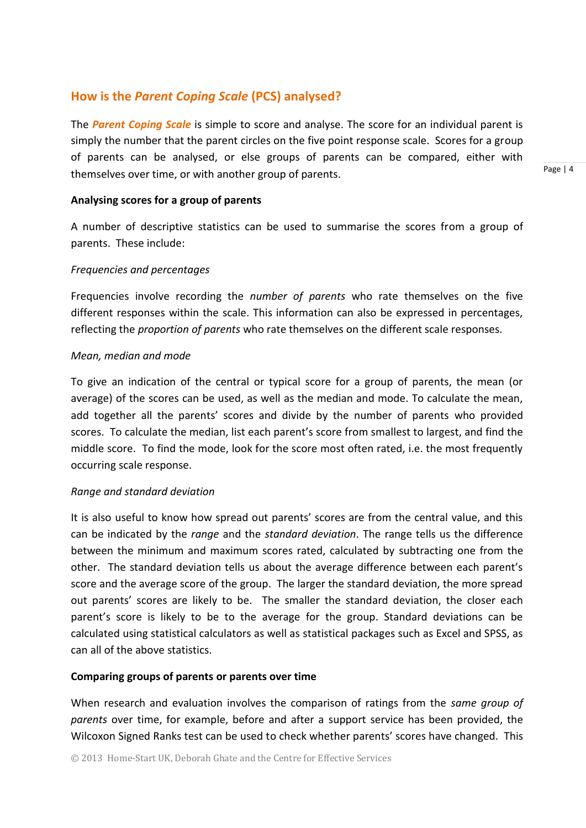## **How is the** *Parent Coping Scale* **(PCS) analysed?**

The *Parent Coping Scale* is simple to score and analyse. The score for an individual parent is simply the number that the parent circles on the five point response scale. Scores for a group of parents can be analysed, or else groups of parents can be compared, either with themselves over time, or with another group of parents.

**Analysing scores for a group of parents**

A number of descriptive statistics can be used to summarise the scores from a group of parents. These include:

#### *Frequencies and percentages*

Frequencies involve recording the *number of parents* who rate themselves on the five different responses within the scale. This information can also be expressed in percentages, reflecting the *proportion of parents* who rate themselves on the different scale responses.

#### *Mean, median and mode*

To give an indication of the central or typical score for a group of parents, the mean (or average) of the scores can be used, as well as the median and mode. To calculate the mean, add together all the parents' scores and divide by the number of parents who provided scores. To calculate the median, list each parent's score from smallest to largest, and find the middle score. To find the mode, look for the score most often rated, i.e. the most frequently occurring scale response.

#### *Range and standard deviation*

It is also useful to know how spread out parents' scores are from the central value, and this can be indicated by the *range* and the *standard deviation*. The range tells us the difference between the minimum and maximum scores rated, calculated by subtracting one from the other. The standard deviation tells us about the average difference between each parent's score and the average score of the group. The larger the standard deviation, the more spread out parents' scores are likely to be. The smaller the standard deviation, the closer each parent's score is likely to be to the average for the group. Standard deviations can be calculated using statistical calculators as well as statistical packages such as Excel and SPSS, as can all of the above statistics.

#### **Comparing groups of parents or parents over time**

When research and evaluation involves the comparison of ratings from the *same group of parents* over time, for example, before and after a support service has been provided, the Wilcoxon Signed Ranks test can be used to check whether parents' scores have changed. This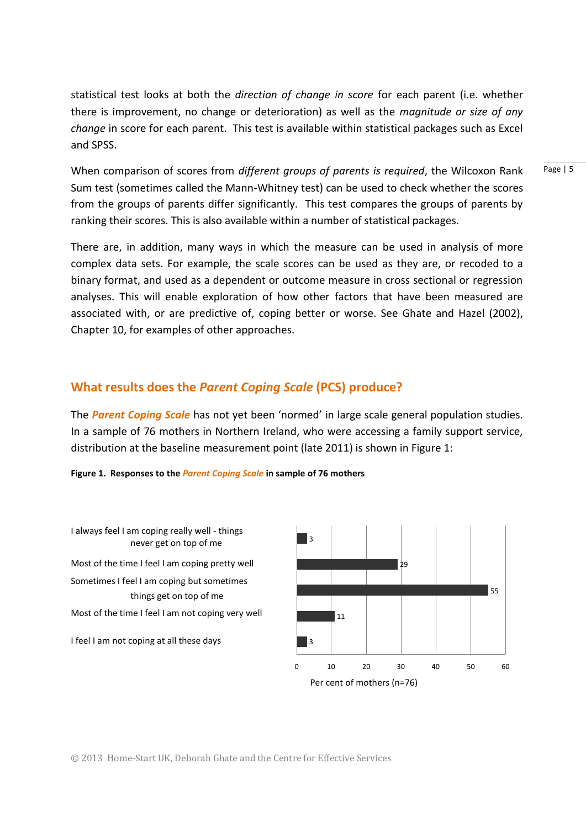statistical test looks at both the *direction of change in score* for each parent (i.e. whether there is improvement, no change or deterioration) as well as the *magnitude or size of any change* in score for each parent. This test is available within statistical packages such as Excel and SPSS.

When comparison of scores from *different groups of parents is required*, the Wilcoxon Rank Sum test (sometimes called the Mann-Whitney test) can be used to check whether the scores from the groups of parents differ significantly. This test compares the groups of parents by ranking their scores. This is also available within a number of statistical packages.

There are, in addition, many ways in which the measure can be used in analysis of more complex data sets. For example, the scale scores can be used as they are, or recoded to a binary format, and used as a dependent or outcome measure in cross sectional or regression analyses. This will enable exploration of how other factors that have been measured are associated with, or are predictive of, coping better or worse. See Ghate and Hazel (2002), Chapter 10, for examples of other approaches.

### **What results does the** *Parent Coping Scale* **(PCS) produce?**

The *Parent Coping Scale* has not yet been 'normed' in large scale general population studies. In a sample of 76 mothers in Northern Ireland, who were accessing a family support service, distribution at the baseline measurement point (late 2011) is shown in Figure 1:

**Figure 1. Responses to the** *Parent Coping Scale* **in sample of 76 mothers**

I feel I am not coping at all these days things get on top of me never get on top of me Most of the time I feel I am coping pretty well Sometimes I feel I am coping but sometimes I always feel I am coping really well - things Most of the time I feel I am not coping very well



© 2013 Home-Start UK, Deborah Ghate and the Centre for Effective Services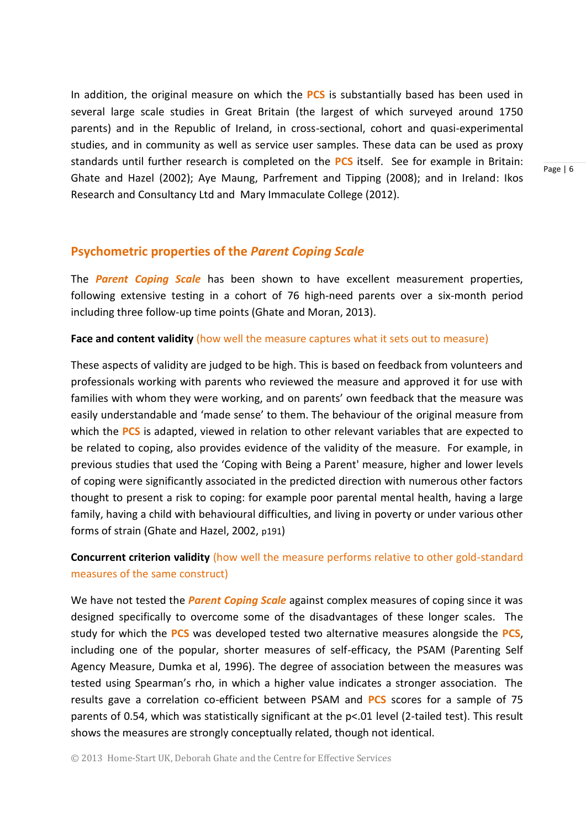In addition, the original measure on which the **PCS** is substantially based has been used in several large scale studies in Great Britain (the largest of which surveyed around 1750 parents) and in the Republic of Ireland, in cross-sectional, cohort and quasi-experimental studies, and in community as well as service user samples. These data can be used as proxy standards until further research is completed on the **PCS** itself. See for example in Britain: Ghate and Hazel (2002); Aye Maung, Parfrement and Tipping (2008); and in Ireland: Ikos Research and Consultancy Ltd and Mary Immaculate College (2012).

#### **Psychometric properties of the** *Parent Coping Scale*

The *Parent Coping Scale* has been shown to have excellent measurement properties, following extensive testing in a cohort of 76 high-need parents over a six-month period including three follow-up time points (Ghate and Moran, 2013).

#### **Face and content validity** (how well the measure captures what it sets out to measure)

These aspects of validity are judged to be high. This is based on feedback from volunteers and professionals working with parents who reviewed the measure and approved it for use with families with whom they were working, and on parents' own feedback that the measure was easily understandable and 'made sense' to them. The behaviour of the original measure from which the **PCS** is adapted, viewed in relation to other relevant variables that are expected to be related to coping, also provides evidence of the validity of the measure. For example, in previous studies that used the 'Coping with Being a Parent' measure, higher and lower levels of coping were significantly associated in the predicted direction with numerous other factors thought to present a risk to coping: for example poor parental mental health, having a large family, having a child with behavioural difficulties, and living in poverty or under various other forms of strain (Ghate and Hazel, 2002, p191)

## **Concurrent criterion validity** (how well the measure performs relative to other gold-standard measures of the same construct)

We have not tested the *Parent Coping Scale* against complex measures of coping since it was designed specifically to overcome some of the disadvantages of these longer scales. The study for which the **PCS** was developed tested two alternative measures alongside the **PCS**, including one of the popular, shorter measures of self-efficacy, the PSAM (Parenting Self Agency Measure, Dumka et al, 1996). The degree of association between the measures was tested using Spearman's rho, in which a higher value indicates a stronger association. The results gave a correlation co-efficient between PSAM and **PCS** scores for a sample of 75 parents of 0.54, which was statistically significant at the p<.01 level (2-tailed test). This result shows the measures are strongly conceptually related, though not identical.

© 2013 Home-Start UK, Deborah Ghate and the Centre for Effective Services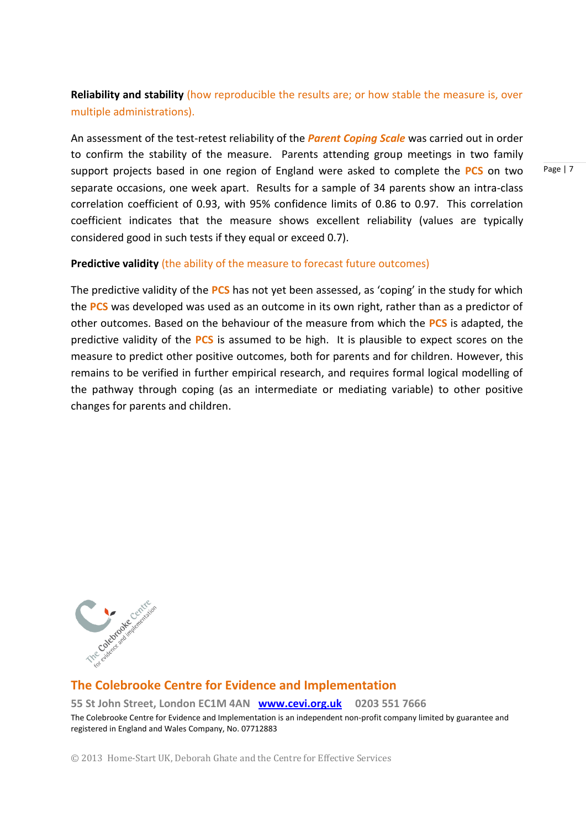## **Reliability and stability** (how reproducible the results are; or how stable the measure is, over multiple administrations).

An assessment of the test-retest reliability of the *Parent Coping Scale* was carried out in order to confirm the stability of the measure. Parents attending group meetings in two family support projects based in one region of England were asked to complete the **PCS** on two separate occasions, one week apart. Results for a sample of 34 parents show an intra-class correlation coefficient of 0.93, with 95% confidence limits of 0.86 to 0.97. This correlation coefficient indicates that the measure shows excellent reliability (values are typically considered good in such tests if they equal or exceed 0.7).

#### **Predictive validity** (the ability of the measure to forecast future outcomes)

The predictive validity of the **PCS** has not yet been assessed, as 'coping' in the study for which the **PCS** was developed was used as an outcome in its own right, rather than as a predictor of other outcomes. Based on the behaviour of the measure from which the **PCS** is adapted, the predictive validity of the **PCS** is assumed to be high. It is plausible to expect scores on the measure to predict other positive outcomes, both for parents and for children. However, this remains to be verified in further empirical research, and requires formal logical modelling of the pathway through coping (as an intermediate or mediating variable) to other positive changes for parents and children.



#### **The Colebrooke Centre for Evidence and Implementation**

**55 St John Street, London EC1M 4AN [www.cevi.org.uk](http://www.cevi.org.uk/) 0203 551 7666**

The Colebrooke Centre for Evidence and Implementation is an independent non-profit company limited by guarantee and registered in England and Wales Company, No. 07712883

© 2013 Home-Start UK, Deborah Ghate and the Centre for Effective Services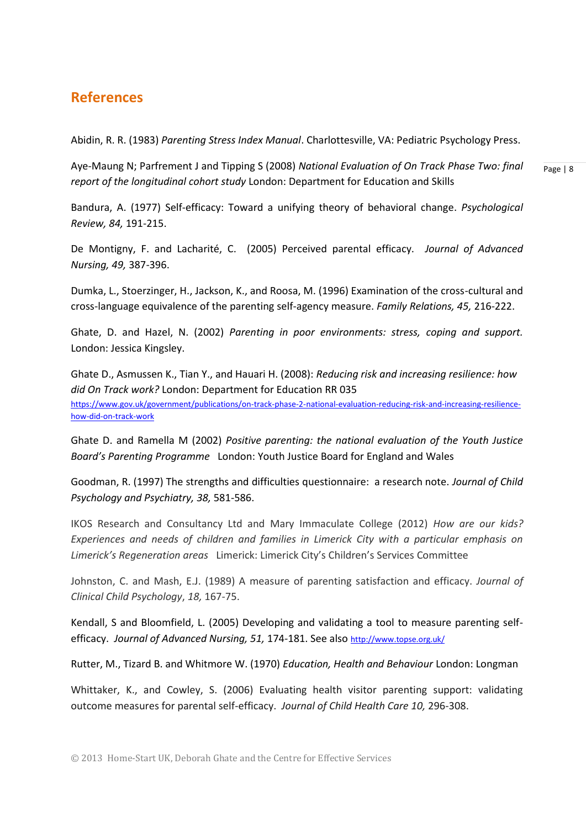## **References**

Abidin, R. R. (1983) *Parenting Stress Index Manual*. Charlottesville, VA: Pediatric Psychology Press.

Aye-Maung N; Parfrement J and Tipping S (2008) *National Evaluation of On Track Phase Two: final report of the longitudinal cohort study* London: Department for Education and Skills

Page | 8

Bandura, A. (1977) [Self-efficacy: Toward a unifying theory of behavioral change.](http://des.emory.edu/mfp/Bandura1977PR.pdf) *Psychological Review, 84,* 191-215.

De Montigny, F. and Lacharité, C. (2005) Perceived parental efficacy. *Journal of Advanced Nursing, 49,* 387-396.

Dumka, L., Stoerzinger, H., Jackson, K., and Roosa, M. (1996) Examination of the cross-cultural and cross-language equivalence of the parenting self-agency measure. *Family Relations, 45,* 216-222.

Ghate, D. and Hazel, N. (2002) *Parenting in poor environments: stress, coping and support.* London: Jessica Kingsley.

Ghate D., Asmussen K., Tian Y., and Hauari H. (2008): *Reducing risk and increasing resilience: how did On Track work?* London: Department for Education RR 035 [https://www.gov.uk/government/publications/on-track-phase-2-national-evaluation-reducing-risk-and-increasing-resilience](https://www.gov.uk/government/publications/on-track-phase-2-national-evaluation-reducing-risk-and-increasing-resilience-how-did-on-track-work)[how-did-on-track-work](https://www.gov.uk/government/publications/on-track-phase-2-national-evaluation-reducing-risk-and-increasing-resilience-how-did-on-track-work)

Ghate D. and Ramella M (2002) *Positive parenting: the national evaluation of the Youth Justice Board's Parenting Programme* London: Youth Justice Board for England and Wales

Goodman, R. (1997) The strengths and difficulties questionnaire: a research note. *Journal of Child Psychology and Psychiatry, 38,* 581-586.

IKOS Research and Consultancy Ltd and Mary Immaculate College (2012) *How are our kids? Experiences and needs of children and families in Limerick City with a particular emphasis on Limerick's Regeneration areas* Limerick: Limerick City's Children's Services Committee

Johnston, C. and Mash, E.J. (1989) A measure of parenting satisfaction and efficacy. *Journal of Clinical Child Psychology*, *18,* 167-75.

Kendall, S and Bloomfield, L. (2005) Developing and validating a tool to measure parenting selfefficacy. Journal of Advanced Nursing, 51, 174-181. See also <http://www.topse.org.uk/>

Rutter, M., Tizard B. and Whitmore W. (1970) *Education, Health and Behaviour* London: Longman

Whittaker, K., and Cowley, S. (2006) Evaluating health visitor parenting support: validating outcome measures for parental self-efficacy. *Journal of Child Health Care 10,* 296-308.